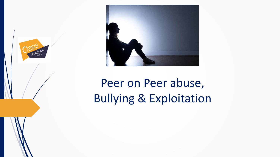



# Peer on Peer abuse, Bullying & Exploitation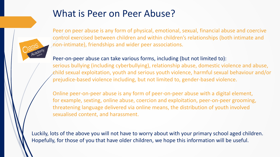### What is Peer on Peer Abuse?



Peer on peer abuse is any form of physical, emotional, sexual, financial abuse and coercive control exercised between children and within children's relationships (both intimate and non-intimate), friendships and wider peer associations.

#### Peer-on-peer abuse can take various forms, including (but not limited to):

serious bullying (including cyberbullying), relationship abuse, domestic violence and abuse, child sexual exploitation, youth and serious youth violence, harmful sexual behaviour and/or prejudice-based violence including, but not limited to, gender-based violence.

Online peer-on-peer abuse is any form of peer-on-peer abuse with a digital element, for example, sexting, online abuse, coercion and exploitation, peer-on-peer grooming, threatening language delivered via online means, the distribution of youth involved sexualised content, and harassment.

Luckily, lots of the above you will not have to worry about with your primary school aged children. Hopefully, for those of you that have older children, we hope this information will be useful.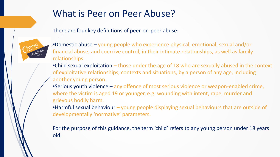### What is Peer on Peer Abuse?

There are four key definitions of peer-on-peer abuse:



- •Domestic abuse young people who experience physical, emotional, sexual and/or financial abuse, and coercive control, in their intimate relationships, as well as family relationships.
- •Child sexual exploitation those under the age of 18 who are sexually abused in the context of exploitative relationships, contexts and situations, by a person of any age, including another young person.
- •Serious youth violence any offence of most serious violence or weapon-enabled crime, where the victim is aged 19 or younger, e.g. wounding with intent, rape, murder and grievous bodily harm.
- •Harmful sexual behaviour young people displaying sexual behaviours that are outside of developmentally 'normative' parameters.

For the purpose of this guidance, the term 'child' refers to any young person under 18 years old.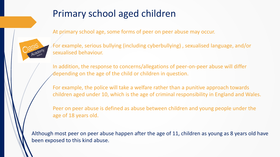### Primary school aged children

At primary school age, some forms of peer on peer abuse may occur.



For example, serious bullying (including cyberbullying) , sexualised language, and/or sexualised behaviour.

In addition, the response to concerns/allegations of peer-on-peer abuse will differ depending on the age of the child or children in question.

For example, the police will take a welfare rather than a punitive approach towards children aged under 10, which is the age of criminal responsibility in England and Wales.

Peer on peer abuse is defined as abuse between children and young people under the age of 18 years old.

Although most peer on peer abuse happen after the age of 11, children as young as 8 years old have been exposed to this kind abuse.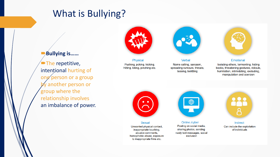### What is Bullying?

#### **Bullying is……**

 $\blacksquare$ The repetitive, intentional hurting of one person or a group by another person or group where the relationship involves an imbalance of power.



Physical Pushing, poking, kicking, hitting, biting, pinching etc.



**Verbal** Name calling, sarcasm, spreading rumours, threats, teasing, belittling



**Emotional** Isolating others, tormenting, hiding books, threatening gestures, ridicule, humiliation, intimidating, excluding, manipulation and coercion



**Sexual** Unwanted physical contact, inappropriate touching, abusive comments, homophobic abuse, exposure to inappropriate films etc.



Online /cyber Posting on social media, sharing photos, sending nasty text messages, social exclusion



**Indirect** Can include the exploitation of individuals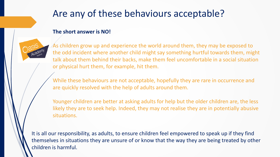## Are any of these behaviours acceptable?

#### **The short answer is NO!**



As children grow up and experience the world around them, they may be exposed to the odd incident where another child might say something hurtful towards them, might talk about them behind their backs, make them feel uncomfortable in a social situation or physical hurt them, for example, hit them.

While these behaviours are not acceptable, hopefully they are rare in occurrence and are quickly resolved with the help of adults around them.

Younger children are better at asking adults for help but the older children are, the less likely they are to seek help. Indeed, they may not realise they are in potentially abusive situations.

It is all our responsibility, as adults, to ensure children feel empowered to speak up if they find themselves in situations they are unsure of or know that the way they are being treated by other children is harmful.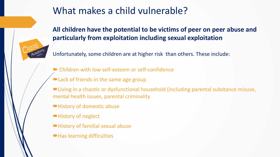## What makes a child vulnerable?



**All children have the potential to be victims of peer on peer abuse and particularly from exploitation including sexual exploitation**

Unfortunately, some children are at higher risk than others. These include:

- Children with low self-esteem or self-confidence
- Lack of friends in the same age group
- Living in a chaotic or dysfunctional household (including parental substance misuse, mental health issues, parental criminality
- History of domestic abuse
- History of neglect
- History of familial sexual abuse
- Has learning difficulties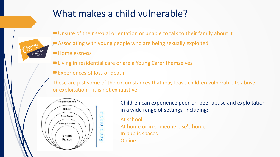### What makes a child vulnerable?

Unsure of their sexual orientation or unable to talk to their family about it



- **Homelessness**
- Living in residential care or are a Young Carer themselves
- Experiences of loss or death

These are just some of the circumstances that may leave children vulnerable to abuse or exploitation – it is not exhaustive



Children can experience peer-on-peer abuse and exploitation in a wide range of settings, including:

At school At home or in someone else's home In public spaces **Online**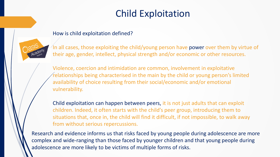# Child Exploitation

#### How is child exploitation defined?



In all cases, those exploiting the child/young person have power over them by virtue of their age, gender, intellect, physical strength and/or economic or other resources.

Violence, coercion and intimidation are common, involvement in exploitative relationships being characterised in the main by the child or young person's limited availability of choice resulting from their social/economic and/or emotional vulnerability.

Child exploitation can happen between peers, it is not just adults that can exploit children. Indeed, it often starts with the child's peer group, introducing them to situations that, once in, the child will find it difficult, if not impossible, to walk away from without serious repercussions.

Research and evidence informs us that risks faced by young people during adolescence are more complex and wide-ranging than those faced by younger children and that young people during adolescence are more likely to be victims of multiple forms of risks.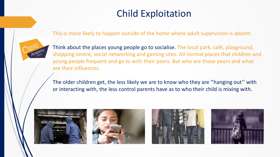# Child Exploitation

This is more likely to happen outside of the home where adult supervision is absent.



Think about the places young people go to socialise. The local park, café, playground, shopping centre, social networking and gaming sites. All normal places that children and young people frequent and go to with their peers. But who are those peers and what are their influences.

The older children get, the less likely we are to know who they are ''hanging out'' with or interacting with, the less control parents have as to who their child is mixing with.







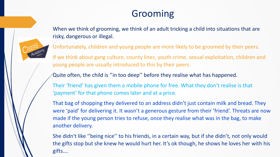## Grooming



When we think of grooming, we think of an adult tricking a child into situations that are risky, dangerous or illegal.

Unfortunately, children and young people are more likely to be groomed by their peers.

If we think about gang culture, county lines, youth crime, sexual exploitation, children and young people are usually introduced to this by their peers.

Quite often, the child is ''in too deep'' before they realise what has happened.

Their 'friend' has given them a mobile phone for free. What they don't realise is that 'payment' for that phone comes later and at a price.

That bag of shopping they delivered to an address didn't just contain milk and bread. They were 'paid' for delivering it. It wasn't a generous gesture from their 'friend'. Threats are now made if the young person tries to refuse, once they realise what was in the bag, to make another delivery.

She didn't like ''being nice'' to his friends, in a certain way, but if she didn't, not only would the gifts stop but she knew he would hurt her. It's ok though, he shows he loves her with his gifts….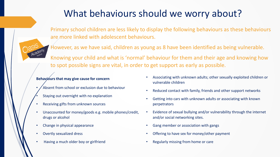# What behaviours should we worry about?

Primary school children are less likely to display the following behaviours as these behaviours are more linked with adolescent behaviours.

However, as we have said, children as young as 8 have been identified as being vulnerable. Knowing your child and what is 'normal' behaviour for them and their age and knowing how to spot possible signs are vital, in order to get support as early as possible.

#### **Behaviours that may give cause for concern**

- Absent from school or exclusion due to behaviour
- Staying out overnight with no explanation
- Receiving gifts from unknown sources
- Unaccounted for money/goods e.g. mobile phones/credit, drugs or alcohol
- Change in physical appearance
- Overtly sexualized dress
- Having a much older boy or girlfriend
- Associating with unknown adults; other sexually exploited children or vulnerable children
- Reduced contact with family, friends and other support networks
- Getting into cars with unknown adults or associating with known perpetrators
- Evidence of sexual bullying and/or vulnerability through the internet and/or social networking sites.
- Gang member or association with gangs
- Offering to have sex for money/other payment
- Regularly missing from home or care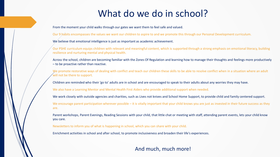### What do we do in school?

From the moment your child walks through our gates we want them to feel safe and valued.

Our 9 habits encompasses the values we want our children to aspire to and we promote this through our Personal Development curriculum.

We believe that emotional intelligence is just as important as academic achievement.

Our PSHE curriculum equips children with relevant and meaningful content, which is supported through a strong emphasis on emotional literacy, building resilience and nurturing mental and physical health.

Across the school, children are becoming familiar with the Zones Of Regulation and learning how to manage their thoughts and feelings more productively – to be proactive rather than reactive.

We promote restorative ways of dealing with conflict and teach our children these skills to be able to resolve conflict when in a situation where an adult will not be there to support.

Children are reminded who their 'go to' adults are in school and are encouraged to speak to their adults about any worries they may have.

We also have a Learning Mentor and Mental Health First Aiders who provide additional support when needed.

We work closely with outside agencies and charities, such as Lives not knives and School Home Support, to provide child and family centered support.

We encourage parent participation wherever possible – it is vitally important that your child knows you are just as invested in their future success as they are.

Parent workshops, Parent Evenings, Reading Sessions with your child, that little chat or meeting with staff, attending parent events, lets your child know you care.

Newsletters to inform you of what is happening in school, which you can share with your child.

Enrichment activities in school and after school, to promote inclusiveness and broaden their life's experiences.

#### And much, much more!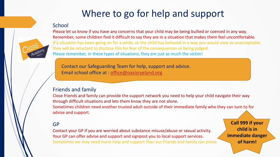# Where to go for help and support

#### **School**



Please let us know if you have any concerns that your child may be being bullied or coerced in any way. Remember, some children find it difficult to say they are in a situation that makes them feel uncomfortable. If a situation has been going on for a while, or the child has behaved in a way you would view as unacceptable, they will be reluctant to disclose this for fear of the consequences or being judged. Please remember, in these types of situations, they are just as much the victim!

Contact our Safeguarding Team for help, support and advice. Email school office at : [office@oasisryeland.org](mailto:office@oasisryeland.org)

#### Friends and family

Close friends and family can provide the support network you need to help your child navigate their way through difficult situations and lets them know they are not alone. Sometimes children need another trusted adult outside of their immediate family who they can turn to for advise and support.

#### GP

Contact your GP if you are worried about substance misuse/abuse or sexual activity. Your GP can offer advise and support and signpost you to local support services. Sometimes we may need more help and support than our friends and family can prove.

**Call 999 if your child is in immediate danger of harm!**